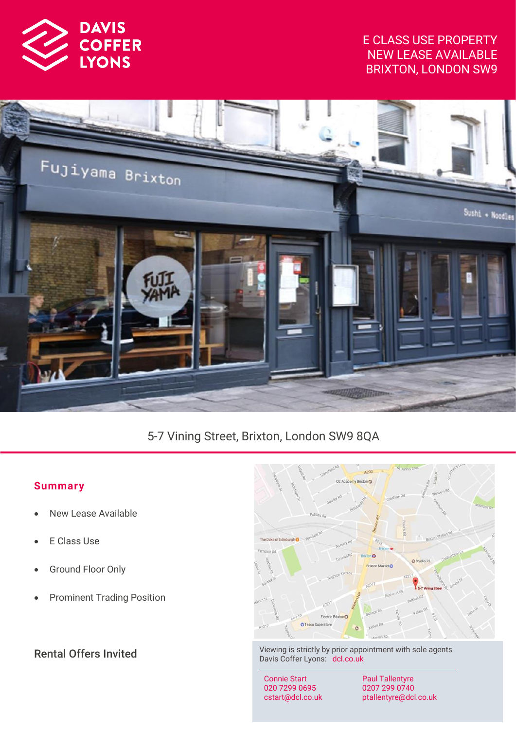

## E CLASS USE PROPERTY NEW LEASE AVAILABLE BRIXTON, LONDON SW9



# 5-7 Vining Street, Brixton, London SW9 8QA

## **Summar y**

- New Lease Available
- **E Class Use**
- Ground Floor Only
- Prominent Trading Position



Rental Offers Invited Viewing is strictly by prior appointment with sole agents Davis Coffer Lyons: dcl.co.uk

> Connie Start 020 7299 0695 cstart@dcl.co.uk

Paul Tallentyre 0207 299 0740 ptallentyre@dcl.co.uk